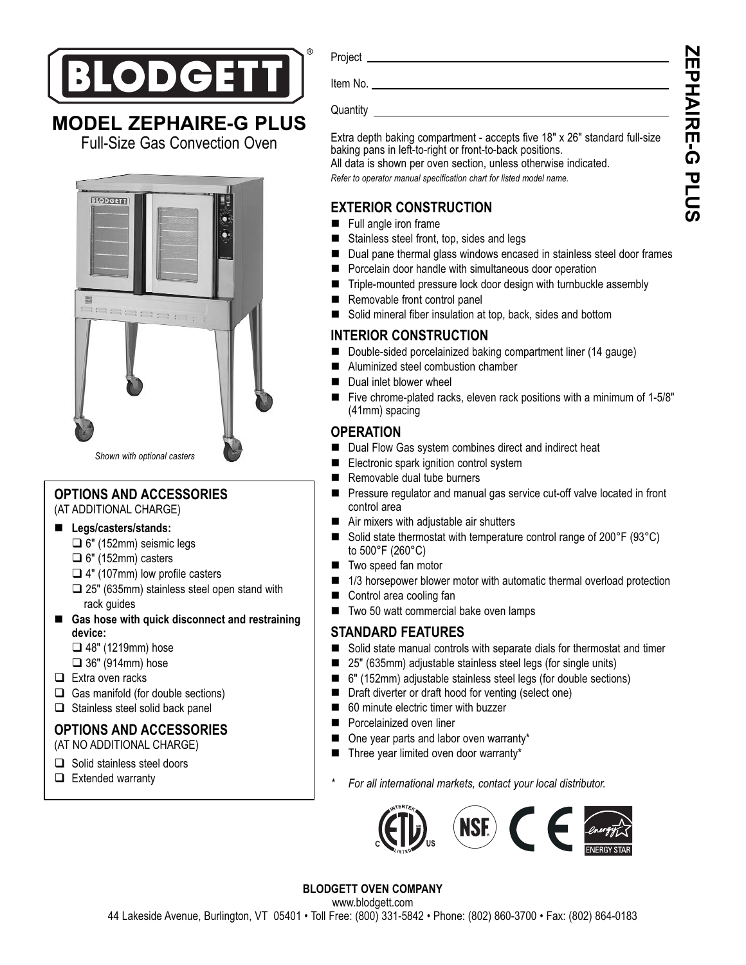

## **MODEL ZEPHAIRE-G PLUS**

Full-Size Gas Convection Oven



## **OPTIONS AND ACCESSORIES**

(AT ADDITIONAL CHARGE)

- **Legs/casters/stands:**
	- □ 6" (152mm) seismic legs
	- $\Box$  6" (152mm) casters
	- $\Box$  4" (107mm) low profile casters
	- $\square$  25" (635mm) stainless steel open stand with rack guides
- Gas hose with quick disconnect and restraining **device:**
	- $\Box$  48" (1219mm) hose
	- $\Box$  36" (914mm) hose
- $\Box$  Extra oven racks
- $\Box$  Gas manifold (for double sections)
- $\Box$  Stainless steel solid back panel

## **OPTIONS AND ACCESSORIES**

(AT NO ADDITIONAL CHARGE)

- Solid stainless steel doors
- $\Box$  Extended warranty

Project **Example 2018 Project** 

Item No. <u>\_\_\_\_\_\_</u>

Quantity

Extra depth baking compartment - accepts five 18" x 26" standard full-size baking pans in left-to-right or front-to-back positions.

All data is shown per oven section, unless otherwise indicated. *Refer to operator manual specification chart for listed model name.*

## **EXTERIOR CONSTRUCTION**

- **Full angle iron frame**
- Stainless steel front, top, sides and legs
- -Dual pane thermal glass windows encased in stainless steel door frames
- **Percelain door handle with simultaneous door operation**
- Triple-mounted pressure lock door design with turnbuckle assembly
- -Removable front control panel
- Solid mineral fiber insulation at top, back, sides and bottom

## **INTERIOR CONSTRUCTION**

- Double-sided porcelainized baking compartment liner (14 gauge)
- -Aluminized steel combustion chamber
- -Dual inlet blower wheel
- - Five chrome-plated racks, eleven rack positions with a minimum of 1-5/8" (41mm) spacing

## **OPERATION**

- Dual Flow Gas system combines direct and indirect heat
- -Electronic spark ignition control system
- -Removable dual tube burners
- - Pressure regulator and manual gas service cut-off valve located in front control area
- Air mixers with adjustable air shutters
- Solid state thermostat with temperature control range of 200°F (93°C) to 500°F (260°C)
- **Two speed fan motor**
- 1/3 horsepower blower motor with automatic thermal overload protection
- -Control area cooling fan
- -Two 50 watt commercial bake oven lamps

## **STANDARD FEATURES**

- Solid state manual controls with separate dials for thermostat and timer
- -25" (635mm) adjustable stainless steel legs (for single units)
- 6" (152mm) adjustable stainless steel legs (for double sections)
- Draft diverter or draft hood for venting (select one)
- 60 minute electric timer with buzzer
- -Porcelainized oven liner
- One year parts and labor oven warranty\*
- -Three year limited oven door warranty\*
- *\* For all international markets, contact your local distributor.*